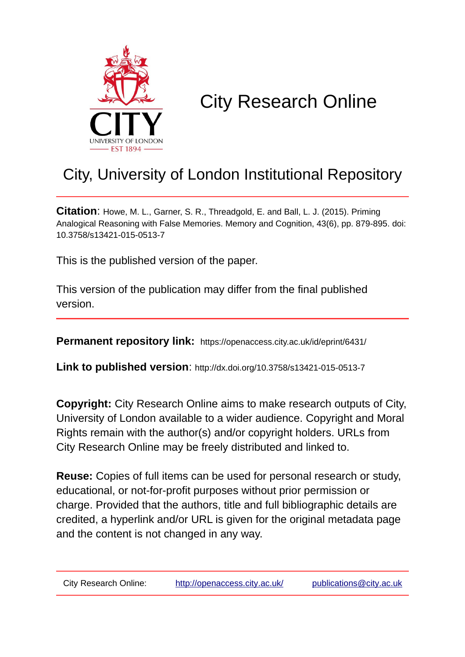

# City Research Online

# City, University of London Institutional Repository

**Citation**: Howe, M. L., Garner, S. R., Threadgold, E. and Ball, L. J. (2015). Priming Analogical Reasoning with False Memories. Memory and Cognition, 43(6), pp. 879-895. doi: 10.3758/s13421-015-0513-7

This is the published version of the paper.

This version of the publication may differ from the final published version.

**Permanent repository link:** https://openaccess.city.ac.uk/id/eprint/6431/

**Link to published version**: http://dx.doi.org/10.3758/s13421-015-0513-7

**Copyright:** City Research Online aims to make research outputs of City, University of London available to a wider audience. Copyright and Moral Rights remain with the author(s) and/or copyright holders. URLs from City Research Online may be freely distributed and linked to.

**Reuse:** Copies of full items can be used for personal research or study, educational, or not-for-profit purposes without prior permission or charge. Provided that the authors, title and full bibliographic details are credited, a hyperlink and/or URL is given for the original metadata page and the content is not changed in any way.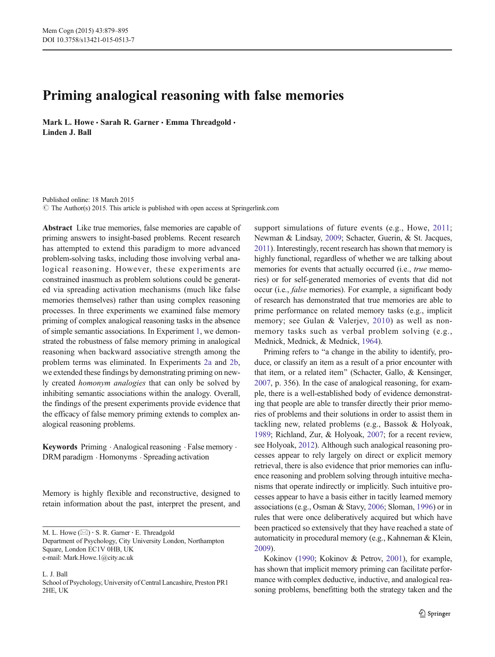# Priming analogical reasoning with false memories

Mark L. Howe · Sarah R. Garner · Emma Threadgold · Linden J. Ball

Published online: 18 March 2015  $\odot$  The Author(s) 2015. This article is published with open access at Springerlink.com

Abstract Like true memories, false memories are capable of priming answers to insight-based problems. Recent research has attempted to extend this paradigm to more advanced problem-solving tasks, including those involving verbal analogical reasoning. However, these experiments are constrained inasmuch as problem solutions could be generated via spreading activation mechanisms (much like false memories themselves) rather than using complex reasoning processes. In three experiments we examined false memory priming of complex analogical reasoning tasks in the absence of simple semantic associations. In Experiment [1,](#page-4-0) we demonstrated the robustness of false memory priming in analogical reasoning when backward associative strength among the problem terms was eliminated. In Experiments [2a](#page-6-0) and [2b,](#page-10-0) we extended these findings by demonstrating priming on newly created homonym analogies that can only be solved by inhibiting semantic associations within the analogy. Overall, the findings of the present experiments provide evidence that the efficacy of false memory priming extends to complex analogical reasoning problems.

Keywords Priming . Analogical reasoning . False memory . DRM paradigm . Homonyms . Spreading activation

Memory is highly flexible and reconstructive, designed to retain information about the past, interpret the present, and

M. L. Howe  $(\boxtimes) \cdot S$ . R. Garner  $\cdot$  E. Threadgold Department of Psychology, City University London, Northampton Square, London EC1V 0HB, UK e-mail: Mark.Howe.1@city.ac.uk

L. J. Ball

School of Psychology, University of Central Lancashire, Preston PR1 2HE, UK

support simulations of future events (e.g., Howe, [2011;](#page-16-0) Newman & Lindsay, [2009;](#page-17-0) Schacter, Guerin, & St. Jacques, [2011](#page-17-0)). Interestingly, recent research has shown that memory is highly functional, regardless of whether we are talking about memories for events that actually occurred (i.e., *true* memories) or for self-generated memories of events that did not occur (i.e., false memories). For example, a significant body of research has demonstrated that true memories are able to prime performance on related memory tasks (e.g., implicit memory; see Gulan & Valerjev, [2010\)](#page-16-0) as well as nonmemory tasks such as verbal problem solving (e.g., Mednick, Mednick, & Mednick, [1964\)](#page-16-0).

Priming refers to "a change in the ability to identify, produce, or classify an item as a result of a prior encounter with that item, or a related item" (Schacter, Gallo, & Kensinger, [2007,](#page-17-0) p. 356). In the case of analogical reasoning, for example, there is a well-established body of evidence demonstrating that people are able to transfer directly their prior memories of problems and their solutions in order to assist them in tackling new, related problems (e.g., Bassok & Holyoak, [1989;](#page-16-0) Richland, Zur, & Holyoak, [2007](#page-17-0); for a recent review, see Holyoak, [2012\)](#page-16-0). Although such analogical reasoning processes appear to rely largely on direct or explicit memory retrieval, there is also evidence that prior memories can influence reasoning and problem solving through intuitive mechanisms that operate indirectly or implicitly. Such intuitive processes appear to have a basis either in tacitly learned memory associations (e.g., Osman & Stavy, [2006](#page-17-0); Sloman, [1996\)](#page-17-0) or in rules that were once deliberatively acquired but which have been practiced so extensively that they have reached a state of automaticity in procedural memory (e.g., Kahneman & Klein, [2009\)](#page-16-0).

Kokinov ([1990](#page-16-0); Kokinov & Petrov, [2001\)](#page-16-0), for example, has shown that implicit memory priming can facilitate performance with complex deductive, inductive, and analogical reasoning problems, benefitting both the strategy taken and the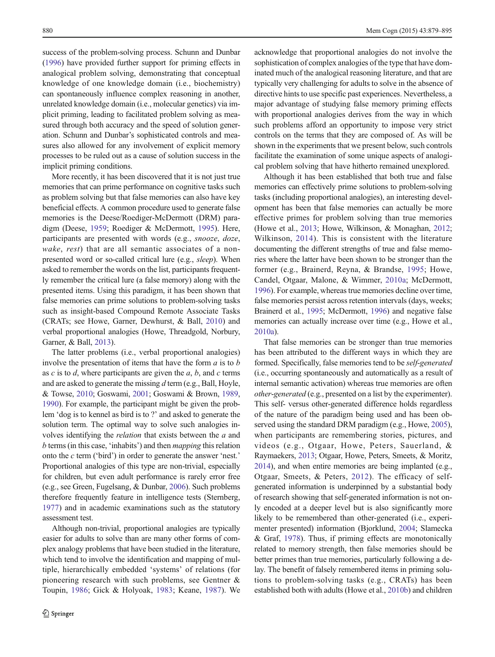success of the problem-solving process. Schunn and Dunbar [\(1996\)](#page-17-0) have provided further support for priming effects in analogical problem solving, demonstrating that conceptual knowledge of one knowledge domain (i.e., biochemistry) can spontaneously influence complex reasoning in another, unrelated knowledge domain (i.e., molecular genetics) via implicit priming, leading to facilitated problem solving as measured through both accuracy and the speed of solution generation. Schunn and Dunbar's sophisticated controls and measures also allowed for any involvement of explicit memory processes to be ruled out as a cause of solution success in the implicit priming conditions.

More recently, it has been discovered that it is not just true memories that can prime performance on cognitive tasks such as problem solving but that false memories can also have key beneficial effects. A common procedure used to generate false memories is the Deese/Roediger-McDermott (DRM) paradigm (Deese, [1959](#page-16-0); Roediger & McDermott, [1995](#page-17-0)). Here, participants are presented with words (e.g., snooze, doze, wake, rest) that are all semantic associates of a nonpresented word or so-called critical lure (e.g., sleep). When asked to remember the words on the list, participants frequently remember the critical lure (a false memory) along with the presented items. Using this paradigm, it has been shown that false memories can prime solutions to problem-solving tasks such as insight-based Compound Remote Associate Tasks (CRATs; see Howe, Garner, Dewhurst, & Ball, [2010\)](#page-16-0) and verbal proportional analogies (Howe, Threadgold, Norbury, Garner, & Ball, [2013\)](#page-16-0).

The latter problems (i.e., verbal proportional analogies) involve the presentation of items that have the form  $a$  is to  $b$ as c is to  $d$ , where participants are given the  $a, b$ , and  $c$  terms and are asked to generate the missing d term (e.g., Ball, Hoyle, & Towse, [2010;](#page-16-0) Goswami, [2001](#page-16-0); Goswami & Brown, [1989,](#page-16-0) [1990\)](#page-16-0). For example, the participant might be given the problem 'dog is to kennel as bird is to ?' and asked to generate the solution term. The optimal way to solve such analogies involves identifying the *relation* that exists between the  $a$  and b terms (in this case, 'inhabits') and then mapping this relation onto the c term ('bird') in order to generate the answer 'nest.' Proportional analogies of this type are non-trivial, especially for children, but even adult performance is rarely error free (e.g., see Green, Fugelsang, & Dunbar, [2006](#page-16-0)). Such problems therefore frequently feature in intelligence tests (Sternberg, [1977\)](#page-17-0) and in academic examinations such as the statutory assessment test.

Although non-trivial, proportional analogies are typically easier for adults to solve than are many other forms of complex analogy problems that have been studied in the literature, which tend to involve the identification and mapping of multiple, hierarchically embedded 'systems' of relations (for pioneering research with such problems, see Gentner & Toupin, [1986;](#page-16-0) Gick & Holyoak, [1983](#page-16-0); Keane, [1987](#page-16-0)). We

acknowledge that proportional analogies do not involve the sophistication of complex analogies of the type that have dominated much of the analogical reasoning literature, and that are typically very challenging for adults to solve in the absence of directive hints to use specific past experiences. Nevertheless, a major advantage of studying false memory priming effects with proportional analogies derives from the way in which such problems afford an opportunity to impose very strict controls on the terms that they are composed of. As will be shown in the experiments that we present below, such controls facilitate the examination of some unique aspects of analogical problem solving that have hitherto remained unexplored.

Although it has been established that both true and false memories can effectively prime solutions to problem-solving tasks (including proportional analogies), an interesting development has been that false memories can actually be more effective primes for problem solving than true memories (Howe et al., [2013](#page-16-0); Howe, Wilkinson, & Monaghan, [2012;](#page-16-0) Wilkinson, [2014](#page-17-0)). This is consistent with the literature documenting the different strengths of true and false memories where the latter have been shown to be stronger than the former (e.g., Brainerd, Reyna, & Brandse, [1995;](#page-16-0) Howe, Candel, Otgaar, Malone, & Wimmer, [2010a;](#page-16-0) McDermott, [1996\)](#page-16-0). For example, whereas true memories decline over time, false memories persist across retention intervals (days, weeks; Brainerd et al., [1995;](#page-16-0) McDermott, [1996\)](#page-16-0) and negative false memories can actually increase over time (e.g., Howe et al., [2010a\)](#page-16-0).

That false memories can be stronger than true memories has been attributed to the different ways in which they are formed. Specifically, false memories tend to be self-generated (i.e., occurring spontaneously and automatically as a result of internal semantic activation) whereas true memories are often other-generated (e.g., presented on a list by the experimenter). This self- versus other-generated difference holds regardless of the nature of the paradigm being used and has been observed using the standard DRM paradigm (e.g., Howe, [2005\)](#page-16-0), when participants are remembering stories, pictures, and videos (e.g., Otgaar, Howe, Peters, Sauerland, & Raymaekers, [2013;](#page-17-0) Otgaar, Howe, Peters, Smeets, & Moritz, [2014\)](#page-17-0), and when entire memories are being implanted (e.g., Otgaar, Smeets, & Peters, [2012](#page-17-0)). The efficacy of selfgenerated information is underpinned by a substantial body of research showing that self-generated information is not only encoded at a deeper level but is also significantly more likely to be remembered than other-generated (i.e., experimenter presented) information (Bjorklund, [2004;](#page-16-0) Slamecka & Graf, [1978\)](#page-17-0). Thus, if priming effects are monotonically related to memory strength, then false memories should be better primes than true memories, particularly following a delay. The benefit of falsely remembered items in priming solutions to problem-solving tasks (e.g., CRATs) has been established both with adults (Howe et al., [2010b](#page-16-0)) and children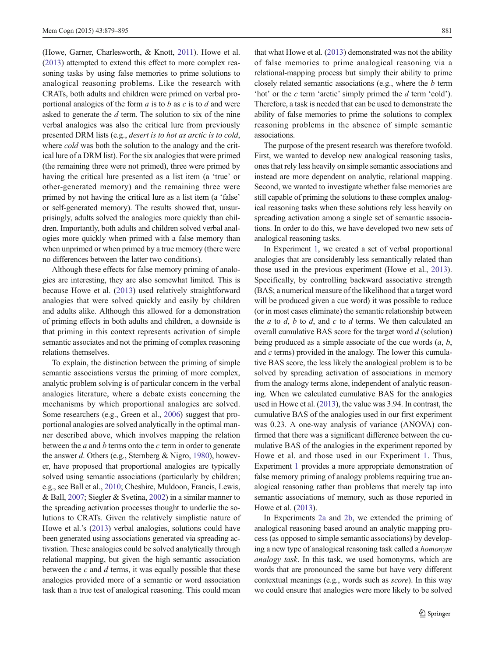(Howe, Garner, Charlesworth, & Knott, [2011\)](#page-16-0). Howe et al. [\(2013\)](#page-16-0) attempted to extend this effect to more complex reasoning tasks by using false memories to prime solutions to analogical reasoning problems. Like the research with CRATs, both adults and children were primed on verbal proportional analogies of the form  $a$  is to  $b$  as  $c$  is to  $d$  and were asked to generate the  $d$  term. The solution to six of the nine verbal analogies was also the critical lure from previously presented DRM lists (e.g., desert is to hot as arctic is to cold, where *cold* was both the solution to the analogy and the critical lure of a DRM list). For the six analogies that were primed (the remaining three were not primed), three were primed by having the critical lure presented as a list item (a 'true' or other-generated memory) and the remaining three were primed by not having the critical lure as a list item (a 'false' or self-generated memory). The results showed that, unsurprisingly, adults solved the analogies more quickly than children. Importantly, both adults and children solved verbal analogies more quickly when primed with a false memory than when unprimed or when primed by a true memory (there were no differences between the latter two conditions).

Although these effects for false memory priming of analogies are interesting, they are also somewhat limited. This is because Howe et al. [\(2013\)](#page-16-0) used relatively straightforward analogies that were solved quickly and easily by children and adults alike. Although this allowed for a demonstration of priming effects in both adults and children, a downside is that priming in this context represents activation of simple semantic associates and not the priming of complex reasoning relations themselves.

To explain, the distinction between the priming of simple semantic associations versus the priming of more complex, analytic problem solving is of particular concern in the verbal analogies literature, where a debate exists concerning the mechanisms by which proportional analogies are solved. Some researchers (e.g., Green et al., [2006\)](#page-16-0) suggest that proportional analogies are solved analytically in the optimal manner described above, which involves mapping the relation between the  $a$  and  $b$  terms onto the  $c$  term in order to generate the answer d. Others (e.g., Sternberg & Nigro, [1980\)](#page-17-0), however, have proposed that proportional analogies are typically solved using semantic associations (particularly by children; e.g., see Ball et al., [2010](#page-16-0); Cheshire, Muldoon, Francis, Lewis, & Ball, [2007](#page-16-0); Siegler & Svetina, [2002](#page-17-0)) in a similar manner to the spreading activation processes thought to underlie the solutions to CRATs. Given the relatively simplistic nature of Howe et al.'s ([2013](#page-16-0)) verbal analogies, solutions could have been generated using associations generated via spreading activation. These analogies could be solved analytically through relational mapping, but given the high semantic association between the  $c$  and  $d$  terms, it was equally possible that these analogies provided more of a semantic or word association task than a true test of analogical reasoning. This could mean

that what Howe et al. ([2013](#page-16-0)) demonstrated was not the ability of false memories to prime analogical reasoning via a relational-mapping process but simply their ability to prime closely related semantic associations (e.g., where the  $b$  term 'hot' or the c term 'arctic' simply primed the d term 'cold'). Therefore, a task is needed that can be used to demonstrate the ability of false memories to prime the solutions to complex reasoning problems in the absence of simple semantic associations.

The purpose of the present research was therefore twofold. First, we wanted to develop new analogical reasoning tasks, ones that rely less heavily on simple semantic associations and instead are more dependent on analytic, relational mapping. Second, we wanted to investigate whether false memories are still capable of priming the solutions to these complex analogical reasoning tasks when these solutions rely less heavily on spreading activation among a single set of semantic associations. In order to do this, we have developed two new sets of analogical reasoning tasks.

In Experiment [1,](#page-4-0) we created a set of verbal proportional analogies that are considerably less semantically related than those used in the previous experiment (Howe et al., [2013\)](#page-16-0). Specifically, by controlling backward associative strength (BAS; a numerical measure of the likelihood that a target word will be produced given a cue word) it was possible to reduce (or in most cases eliminate) the semantic relationship between the  $a$  to  $d$ ,  $b$  to  $d$ , and  $c$  to  $d$  terms. We then calculated an overall cumulative BAS score for the target word  $d$  (solution) being produced as a simple associate of the cue words  $(a, b, c)$ and  $c$  terms) provided in the analogy. The lower this cumulative BAS score, the less likely the analogical problem is to be solved by spreading activation of associations in memory from the analogy terms alone, independent of analytic reasoning. When we calculated cumulative BAS for the analogies used in Howe et al. ([2013](#page-16-0)), the value was 3.94. In contrast, the cumulative BAS of the analogies used in our first experiment was 0.23. A one-way analysis of variance (ANOVA) confirmed that there was a significant difference between the cumulative BAS of the analogies in the experiment reported by Howe et al. and those used in our Experiment [1](#page-4-0). Thus, Experiment [1](#page-4-0) provides a more appropriate demonstration of false memory priming of analogy problems requiring true analogical reasoning rather than problems that merely tap into semantic associations of memory, such as those reported in Howe et al. ([2013](#page-16-0)).

In Experiments [2a](#page-6-0) and [2b](#page-10-0), we extended the priming of analogical reasoning based around an analytic mapping process (as opposed to simple semantic associations) by developing a new type of analogical reasoning task called a homonym analogy task. In this task, we used homonyms, which are words that are pronounced the same but have very different contextual meanings (e.g., words such as score). In this way we could ensure that analogies were more likely to be solved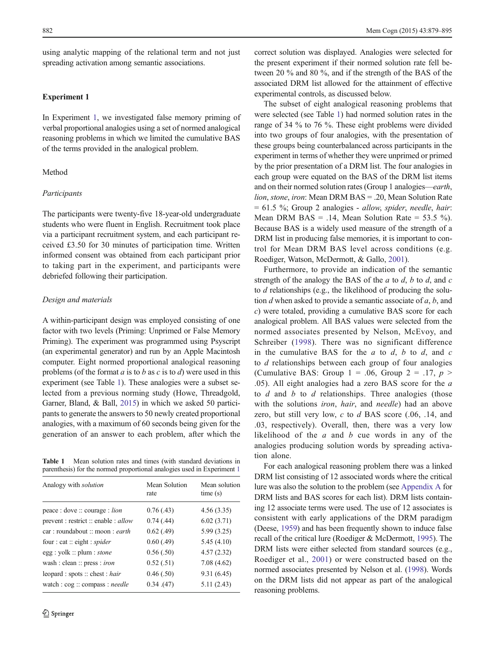<span id="page-4-0"></span>using analytic mapping of the relational term and not just spreading activation among semantic associations.

# Experiment 1

In Experiment 1, we investigated false memory priming of verbal proportional analogies using a set of normed analogical reasoning problems in which we limited the cumulative BAS of the terms provided in the analogical problem.

# Method

# Participants

The participants were twenty-five 18-year-old undergraduate students who were fluent in English. Recruitment took place via a participant recruitment system, and each participant received £3.50 for 30 minutes of participation time. Written informed consent was obtained from each participant prior to taking part in the experiment, and participants were debriefed following their participation.

#### Design and materials

A within-participant design was employed consisting of one factor with two levels (Priming: Unprimed or False Memory Priming). The experiment was programmed using Psyscript (an experimental generator) and run by an Apple Macintosh computer. Eight normed proportional analogical reasoning problems (of the format  $a$  is to  $b$  as  $c$  is to  $d$ ) were used in this experiment (see Table 1). These analogies were a subset selected from a previous norming study (Howe, Threadgold, Garner, Bland, & Ball, [2015](#page-16-0)) in which we asked 50 participants to generate the answers to 50 newly created proportional analogies, with a maximum of 60 seconds being given for the generation of an answer to each problem, after which the

Table 1 Mean solution rates and times (with standard deviations in parenthesis) for the normed proportional analogies used in Experiment 1

| Analogy with solution                       | Mean Solution<br>rate | Mean solution<br>time(s) |
|---------------------------------------------|-----------------------|--------------------------|
| peace : dove :: courage : <i>lion</i>       | 0.76(0.43)            | 4.56(3.35)               |
| prevent : restrict :: enable : <i>allow</i> | 0.74(0.44)            | 6.02(3.71)               |
| car: roundabout: moon: earth                | 0.62(0.49)            | 5.99(3.25)               |
| four : cat :: eight : spider                | 0.60(0.49)            | 5.45(4.10)               |
| egg : yolk :: plum : <i>stone</i>           | 0.56(.50)             | 4.57(2.32)               |
| wash : clean :: press : iron                | 0.52(.51)             | 7.08(4.62)               |
| leopard : spots :: chest : <i>hair</i>      | 0.46(.50)             | 9.31(6.45)               |
| watch: cog:: compass: <i>needle</i>         | 0.34(47)              | 5.11(2.43)               |

correct solution was displayed. Analogies were selected for the present experiment if their normed solution rate fell between 20 % and 80 %, and if the strength of the BAS of the associated DRM list allowed for the attainment of effective experimental controls, as discussed below.

The subset of eight analogical reasoning problems that were selected (see Table 1) had normed solution rates in the range of 34 % to 76 %. These eight problems were divided into two groups of four analogies, with the presentation of these groups being counterbalanced across participants in the experiment in terms of whether they were unprimed or primed by the prior presentation of a DRM list. The four analogies in each group were equated on the BAS of the DRM list items and on their normed solution rates (Group 1 analogies—earth, lion, stone, iron: Mean DRM BAS = .20, Mean Solution Rate  $= 61.5$  %; Group 2 analogies - *allow, spider, needle, hair*: Mean DRM BAS = .14, Mean Solution Rate =  $53.5\%$ ). Because BAS is a widely used measure of the strength of a DRM list in producing false memories, it is important to control for Mean DRM BAS level across conditions (e.g. Roediger, Watson, McDermott, & Gallo, [2001](#page-17-0)).

Furthermore, to provide an indication of the semantic strength of the analogy the BAS of the  $a$  to  $d$ ,  $b$  to  $d$ , and  $c$ to d relationships (e.g., the likelihood of producing the solution  $d$  when asked to provide a semantic associate of  $a, b$ , and c) were totaled, providing a cumulative BAS score for each analogical problem. All BAS values were selected from the normed associates presented by Nelson, McEvoy, and Schreiber ([1998](#page-17-0)). There was no significant difference in the cumulative BAS for the  $a$  to  $d$ ,  $b$  to  $d$ , and  $c$ to d relationships between each group of four analogies (Cumulative BAS: Group  $1 = .06$ , Group  $2 = .17$ ,  $p >$ .05). All eight analogies had a zero BAS score for the a to  $d$  and  $b$  to  $d$  relationships. Three analogies (those with the solutions *iron*, *hair*, and *needle*) had an above zero, but still very low, c to d BAS score (.06, .14, and .03, respectively). Overall, then, there was a very low likelihood of the  $a$  and  $b$  cue words in any of the analogies producing solution words by spreading activation alone.

For each analogical reasoning problem there was a linked DRM list consisting of 12 associated words where the critical lure was also the solution to the problem (see [Appendix A](#page-15-0) for DRM lists and BAS scores for each list). DRM lists containing 12 associate terms were used. The use of 12 associates is consistent with early applications of the DRM paradigm (Deese, [1959\)](#page-16-0) and has been frequently shown to induce false recall of the critical lure (Roediger & McDermott, [1995](#page-17-0)). The DRM lists were either selected from standard sources (e.g., Roediger et al., [2001\)](#page-17-0) or were constructed based on the normed associates presented by Nelson et al. ([1998](#page-17-0)). Words on the DRM lists did not appear as part of the analogical reasoning problems.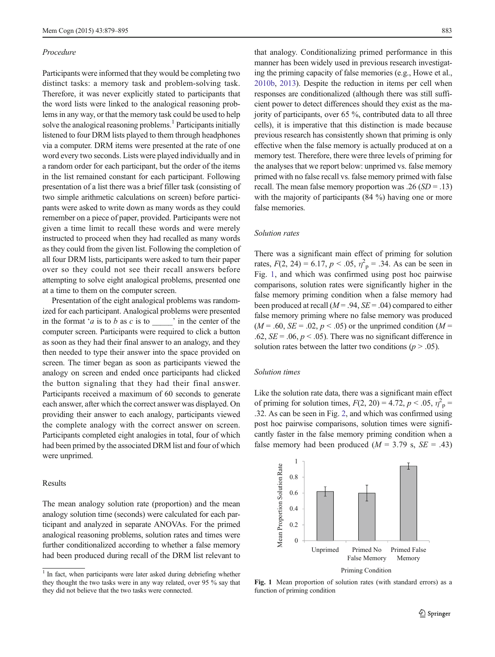#### Procedure

Participants were informed that they would be completing two distinct tasks: a memory task and problem-solving task. Therefore, it was never explicitly stated to participants that the word lists were linked to the analogical reasoning problems in any way, or that the memory task could be used to help solve the analogical reasoning problems.<sup>1</sup> Participants initially listened to four DRM lists played to them through headphones via a computer. DRM items were presented at the rate of one word every two seconds. Lists were played individually and in a random order for each participant, but the order of the items in the list remained constant for each participant. Following presentation of a list there was a brief filler task (consisting of two simple arithmetic calculations on screen) before participants were asked to write down as many words as they could remember on a piece of paper, provided. Participants were not given a time limit to recall these words and were merely instructed to proceed when they had recalled as many words as they could from the given list. Following the completion of all four DRM lists, participants were asked to turn their paper over so they could not see their recall answers before attempting to solve eight analogical problems, presented one at a time to them on the computer screen.

Presentation of the eight analogical problems was randomized for each participant. Analogical problems were presented in the format '*a* is to *b* as *c* is to  $\cdot$  in the center of the computer screen. Participants were required to click a button as soon as they had their final answer to an analogy, and they then needed to type their answer into the space provided on screen. The timer began as soon as participants viewed the analogy on screen and ended once participants had clicked the button signaling that they had their final answer. Participants received a maximum of 60 seconds to generate each answer, after which the correct answer was displayed. On providing their answer to each analogy, participants viewed the complete analogy with the correct answer on screen. Participants completed eight analogies in total, four of which had been primed by the associated DRM list and four of which were unprimed.

#### Results

The mean analogy solution rate (proportion) and the mean analogy solution time (seconds) were calculated for each participant and analyzed in separate ANOVAs. For the primed analogical reasoning problems, solution rates and times were further conditionalized according to whether a false memory had been produced during recall of the DRM list relevant to

that analogy. Conditionalizing primed performance in this manner has been widely used in previous research investigating the priming capacity of false memories (e.g., Howe et al., [2010b,](#page-16-0) [2013](#page-16-0)). Despite the reduction in items per cell when responses are conditionalized (although there was still sufficient power to detect differences should they exist as the majority of participants, over 65 %, contributed data to all three cells), it is imperative that this distinction is made because previous research has consistently shown that priming is only effective when the false memory is actually produced at on a memory test. Therefore, there were three levels of priming for the analyses that we report below: unprimed vs. false memory primed with no false recall vs. false memory primed with false recall. The mean false memory proportion was  $.26$  (SD =  $.13$ ) with the majority of participants (84 %) having one or more false memories.

#### Solution rates

There was a significant main effect of priming for solution rates,  $F(2, 24) = 6.17$ ,  $p < .05$ ,  $\eta_{\text{p}}^2 = .34$ . As can be seen in Fig. 1, and which was confirmed using post hoc pairwise comparisons, solution rates were significantly higher in the false memory priming condition when a false memory had been produced at recall  $(M = .94, SE = .04)$  compared to either false memory priming where no false memory was produced  $(M = .60, SE = .02, p < .05)$  or the unprimed condition  $(M = .60, SE = .02, p < .05)$ .62,  $SE = .06$ ,  $p < .05$ ). There was no significant difference in solution rates between the latter two conditions ( $p > .05$ ).

# Solution times

Like the solution rate data, there was a significant main effect of priming for solution times,  $F(2, 20) = 4.72, p < .05, \eta_p^2 =$ .32. As can be seen in Fig. [2](#page-6-0), and which was confirmed using post hoc pairwise comparisons, solution times were significantly faster in the false memory priming condition when a false memory had been produced ( $M = 3.79$  s,  $SE = .43$ )



Fig. 1 Mean proportion of solution rates (with standard errors) as a function of priming condition

<sup>&</sup>lt;sup>1</sup> In fact, when participants were later asked during debriefing whether they thought the two tasks were in any way related, over 95 % say that they did not believe that the two tasks were connected.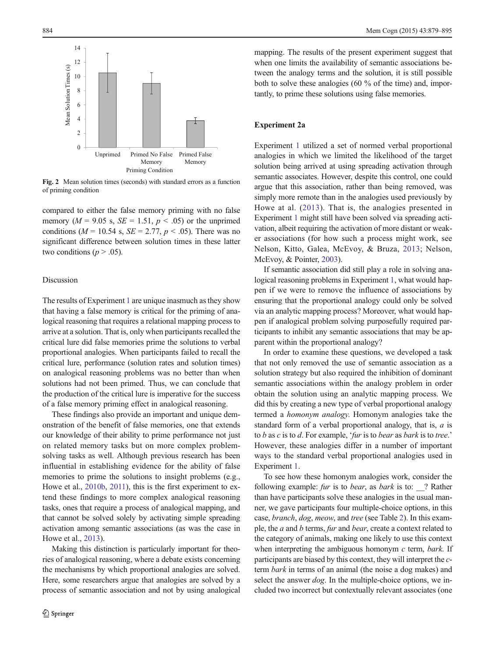<span id="page-6-0"></span>

Fig. 2 Mean solution times (seconds) with standard errors as a function of priming condition

compared to either the false memory priming with no false memory ( $M = 9.05$  s,  $SE = 1.51$ ,  $p < .05$ ) or the unprimed conditions ( $M = 10.54$  s,  $SE = 2.77$ ,  $p < .05$ ). There was no significant difference between solution times in these latter two conditions ( $p > .05$ ).

# Discussion

The results of Experiment [1](#page-4-0) are unique inasmuch as they show that having a false memory is critical for the priming of analogical reasoning that requires a relational mapping process to arrive at a solution. That is, only when participants recalled the critical lure did false memories prime the solutions to verbal proportional analogies. When participants failed to recall the critical lure, performance (solution rates and solution times) on analogical reasoning problems was no better than when solutions had not been primed. Thus, we can conclude that the production of the critical lure is imperative for the success of a false memory priming effect in analogical reasoning.

These findings also provide an important and unique demonstration of the benefit of false memories, one that extends our knowledge of their ability to prime performance not just on related memory tasks but on more complex problemsolving tasks as well. Although previous research has been influential in establishing evidence for the ability of false memories to prime the solutions to insight problems (e.g., Howe et al., [2010b,](#page-16-0) [2011](#page-16-0)), this is the first experiment to extend these findings to more complex analogical reasoning tasks, ones that require a process of analogical mapping, and that cannot be solved solely by activating simple spreading activation among semantic associations (as was the case in Howe et al., [2013\)](#page-16-0).

Making this distinction is particularly important for theories of analogical reasoning, where a debate exists concerning the mechanisms by which proportional analogies are solved. Here, some researchers argue that analogies are solved by a process of semantic association and not by using analogical mapping. The results of the present experiment suggest that when one limits the availability of semantic associations between the analogy terms and the solution, it is still possible both to solve these analogies (60 % of the time) and, importantly, to prime these solutions using false memories.

# Experiment 2a

Experiment [1](#page-4-0) utilized a set of normed verbal proportional analogies in which we limited the likelihood of the target solution being arrived at using spreading activation through semantic associates. However, despite this control, one could argue that this association, rather than being removed, was simply more remote than in the analogies used previously by Howe at al. ([2013](#page-16-0)). That is, the analogies presented in Experiment [1](#page-4-0) might still have been solved via spreading activation, albeit requiring the activation of more distant or weaker associations (for how such a process might work, see Nelson, Kitto, Galea, McEvoy, & Bruza, [2013;](#page-17-0) Nelson, McEvoy, & Pointer, [2003\)](#page-17-0).

If semantic association did still play a role in solving analogical reasoning problems in Experiment [1,](#page-4-0) what would happen if we were to remove the influence of associations by ensuring that the proportional analogy could only be solved via an analytic mapping process? Moreover, what would happen if analogical problem solving purposefully required participants to inhibit any semantic associations that may be apparent within the proportional analogy?

In order to examine these questions, we developed a task that not only removed the use of semantic association as a solution strategy but also required the inhibition of dominant semantic associations within the analogy problem in order obtain the solution using an analytic mapping process. We did this by creating a new type of verbal proportional analogy termed a homonym analogy. Homonym analogies take the standard form of a verbal proportional analogy, that is, a is to  $b$  as  $c$  is to  $d$ . For example, 'fur is to bear as bark is to tree.' However, these analogies differ in a number of important ways to the standard verbal proportional analogies used in Experiment [1.](#page-4-0)

To see how these homonym analogies work, consider the following example: fur is to bear, as bark is to:  $\cdot$  ? Rather than have participants solve these analogies in the usual manner, we gave participants four multiple-choice options, in this case, branch, dog, meow, and tree (see Table [2\)](#page-7-0). In this example, the a and b terms, fur and bear, create a context related to the category of animals, making one likely to use this context when interpreting the ambiguous homonym  $c$  term, bark. If participants are biased by this context, they will interpret the cterm bark in terms of an animal (the noise a dog makes) and select the answer *dog*. In the multiple-choice options, we included two incorrect but contextually relevant associates (one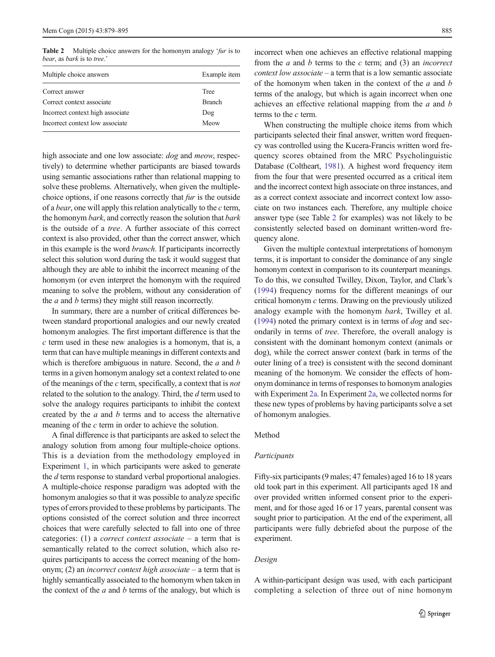<span id="page-7-0"></span>**Table 2** Multiple choice answers for the homonym analogy 'fur is to bear, as bark is to tree.'

| Multiple choice answers          | Example item  |
|----------------------------------|---------------|
| Correct answer                   | Tree          |
| Correct context associate        | <b>Branch</b> |
| Incorrect context high associate | Dog           |
| Incorrect context low associate  | Meow          |
|                                  |               |

high associate and one low associate: *dog* and *meow*, respectively) to determine whether participants are biased towards using semantic associations rather than relational mapping to solve these problems. Alternatively, when given the multiplechoice options, if one reasons correctly that fur is the outside of a bear, one will apply this relation analytically to the c term, the homonym bark, and correctly reason the solution that bark is the outside of a tree. A further associate of this correct context is also provided, other than the correct answer, which in this example is the word branch. If participants incorrectly select this solution word during the task it would suggest that although they are able to inhibit the incorrect meaning of the homonym (or even interpret the homonym with the required meaning to solve the problem, without any consideration of the  $a$  and  $b$  terms) they might still reason incorrectly.

In summary, there are a number of critical differences between standard proportional analogies and our newly created homonym analogies. The first important difference is that the c term used in these new analogies is a homonym, that is, a term that can have multiple meanings in different contexts and which is therefore ambiguous in nature. Second, the  $a$  and  $b$ terms in a given homonym analogy set a context related to one of the meanings of the  $c$  term, specifically, a context that is *not* related to the solution to the analogy. Third, the d term used to solve the analogy requires participants to inhibit the context created by the  $a$  and  $b$  terms and to access the alternative meaning of the c term in order to achieve the solution.

A final difference is that participants are asked to select the analogy solution from among four multiple-choice options. This is a deviation from the methodology employed in Experiment [1,](#page-4-0) in which participants were asked to generate the d term response to standard verbal proportional analogies. A multiple-choice response paradigm was adopted with the homonym analogies so that it was possible to analyze specific types of errors provided to these problems by participants. The options consisted of the correct solution and three incorrect choices that were carefully selected to fall into one of three categories: (1) a *correct context associate* – a term that is semantically related to the correct solution, which also requires participants to access the correct meaning of the homonym; (2) an incorrect context high associate – a term that is highly semantically associated to the homonym when taken in the context of the  $a$  and  $b$  terms of the analogy, but which is incorrect when one achieves an effective relational mapping from the *a* and *b* terms to the *c* term; and (3) an *incorrect* context low associate – a term that is a low semantic associate of the homonym when taken in the context of the  $a$  and  $b$ terms of the analogy, but which is again incorrect when one achieves an effective relational mapping from the  $a$  and  $b$ terms to the c term.

When constructing the multiple choice items from which participants selected their final answer, written word frequency was controlled using the Kucera-Francis written word frequency scores obtained from the MRC Psycholinguistic Database (Coltheart, [1981\)](#page-16-0). A highest word frequency item from the four that were presented occurred as a critical item and the incorrect context high associate on three instances, and as a correct context associate and incorrect context low associate on two instances each. Therefore, any multiple choice answer type (see Table 2 for examples) was not likely to be consistently selected based on dominant written-word frequency alone.

Given the multiple contextual interpretations of homonym terms, it is important to consider the dominance of any single homonym context in comparison to its counterpart meanings. To do this, we consulted Twilley, Dixon, Taylor, and Clark's [\(1994](#page-17-0)) frequency norms for the different meanings of our critical homonym c terms. Drawing on the previously utilized analogy example with the homonym bark, Twilley et al. [\(1994\)](#page-17-0) noted the primary context is in terms of  $\log$  and secondarily in terms of tree. Therefore, the overall analogy is consistent with the dominant homonym context (animals or dog), while the correct answer context (bark in terms of the outer lining of a tree) is consistent with the second dominant meaning of the homonym. We consider the effects of homonym dominance in terms of responses to homonym analogies with Experiment [2a.](#page-6-0) In Experiment [2a](#page-6-0), we collected norms for these new types of problems by having participants solve a set of homonym analogies.

# Method

#### Participants

Fifty-six participants (9 males; 47 females) aged 16 to 18 years old took part in this experiment. All participants aged 18 and over provided written informed consent prior to the experiment, and for those aged 16 or 17 years, parental consent was sought prior to participation. At the end of the experiment, all participants were fully debriefed about the purpose of the experiment.

#### Design

A within-participant design was used, with each participant completing a selection of three out of nine homonym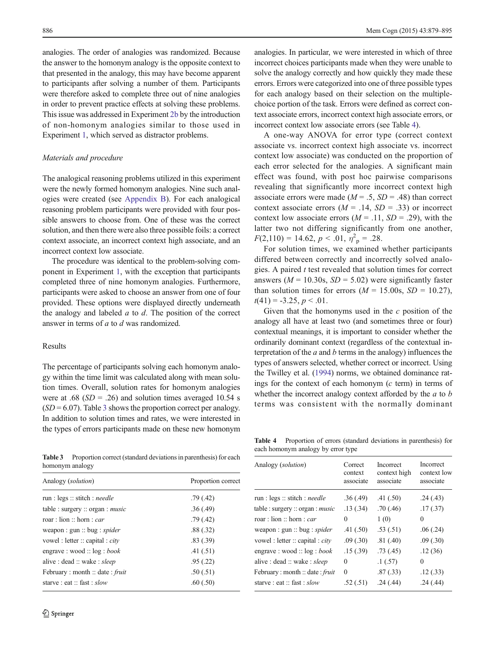<span id="page-8-0"></span>analogies. The order of analogies was randomized. Because the answer to the homonym analogy is the opposite context to that presented in the analogy, this may have become apparent to participants after solving a number of them. Participants were therefore asked to complete three out of nine analogies in order to prevent practice effects at solving these problems. This issue was addressed in Experiment [2b](#page-10-0) by the introduction of non-homonym analogies similar to those used in Experiment [1,](#page-4-0) which served as distractor problems.

# Materials and procedure

The analogical reasoning problems utilized in this experiment were the newly formed homonym analogies. Nine such analogies were created (see [Appendix B\)](#page-15-0). For each analogical reasoning problem participants were provided with four possible answers to choose from. One of these was the correct solution, and then there were also three possible foils: a correct context associate, an incorrect context high associate, and an incorrect context low associate.

The procedure was identical to the problem-solving component in Experiment [1,](#page-4-0) with the exception that participants completed three of nine homonym analogies. Furthermore, participants were asked to choose an answer from one of four provided. These options were displayed directly underneath the analogy and labeled  $a$  to  $d$ . The position of the correct answer in terms of a to d was randomized.

#### Results

The percentage of participants solving each homonym analogy within the time limit was calculated along with mean solution times. Overall, solution rates for homonym analogies were at .68 ( $SD = .26$ ) and solution times averaged 10.54 s  $(SD = 6.07)$ . Table 3 shows the proportion correct per analogy. In addition to solution times and rates, we were interested in the types of errors participants made on these new homonym

Table 3 Proportion correct (standard deviations in parenthesis) for each homonym analogy

| Analogy (solution)                      | Proportion correct |  |  |
|-----------------------------------------|--------------------|--|--|
| run : legs :: stitch : <i>needle</i>    | .79(.42)           |  |  |
| table: surgery::organ : music           | .36(.49)           |  |  |
| roar : lion :: horn : <i>car</i>        | .79(.42)           |  |  |
| weapon : gun :: bug : spider            | .88(.32)           |  |  |
| vowel : letter :: capital : <i>city</i> | .83(.39)           |  |  |
| engrave : wood :: $log : book$          | .41(.51)           |  |  |
| alive : dead :: wake : <i>sleep</i>     | .95(.22)           |  |  |
| February: month :: date: fruit          | .50(.51)           |  |  |
| starve : eat :: fast : $slow$           | .60(.50)           |  |  |
|                                         |                    |  |  |

analogies. In particular, we were interested in which of three incorrect choices participants made when they were unable to solve the analogy correctly and how quickly they made these errors. Errors were categorized into one of three possible types for each analogy based on their selection on the multiplechoice portion of the task. Errors were defined as correct context associate errors, incorrect context high associate errors, or incorrect context low associate errors (see Table 4).

A one-way ANOVA for error type (correct context associate vs. incorrect context high associate vs. incorrect context low associate) was conducted on the proportion of each error selected for the analogies. A significant main effect was found, with post hoc pairwise comparisons revealing that significantly more incorrect context high associate errors were made ( $M = .5$ ,  $SD = .48$ ) than correct context associate errors  $(M = .14, SD = .33)$  or incorrect context low associate errors  $(M = .11, SD = .29)$ , with the latter two not differing significantly from one another,  $F(2,110) = 14.62, p < .01, \eta_p^2 = .28.$ 

For solution times, we examined whether participants differed between correctly and incorrectly solved analogies. A paired  $t$  test revealed that solution times for correct answers ( $M = 10.30$ s,  $SD = 5.02$ ) were significantly faster than solution times for errors ( $M = 15.00$ s,  $SD = 10.27$ ),  $t(41) = -3.25, p < 0.01$ .

Given that the homonyms used in the  $c$  position of the analogy all have at least two (and sometimes three or four) contextual meanings, it is important to consider whether the ordinarily dominant context (regardless of the contextual interpretation of the  $a$  and  $b$  terms in the analogy) influences the types of answers selected, whether correct or incorrect. Using the Twilley et al. [\(1994](#page-17-0)) norms, we obtained dominance ratings for the context of each homonym  $(c$  term) in terms of whether the incorrect analogy context afforded by the  $a$  to  $b$ terms was consistent with the normally dominant

Table 4 Proportion of errors (standard deviations in parenthesis) for each homonym analogy by error type

| Analogy (solution)                      | Correct<br>context<br>associate | Incorrect<br>context high<br>associate | <b>Incorrect</b><br>context low<br>associate |
|-----------------------------------------|---------------------------------|----------------------------------------|----------------------------------------------|
| run : legs :: stitch : <i>needle</i>    | .36(.49)                        | .41(.50)                               | .24(.43)                                     |
| table: surgery::organ: music            | .13(0.34)                       | .70(0.46)                              | .17(0.37)                                    |
| roar : lion :: horn : <i>car</i>        | 0                               | 1(0)                                   | $\Omega$                                     |
| weapon : gun :: bug : <i>spider</i>     | .41(.50)                        | .53(.51)                               | .06(.24)                                     |
| vowel : letter :: capital : <i>city</i> | .09(.30)                        | .81(.40)                               | .09(0.30)                                    |
| engrave : wood :: $log : book$          | .15(.39)                        | .73(.45)                               | .12(36)                                      |
| alive : dead :: wake : sleep            | 0                               | .1(0.57)                               | 0                                            |
| February: month:: date: fruit           | $\Omega$                        | .87(0.33)                              | .12(0.33)                                    |
| starve : eat :: fast : slow             | .52(.51)                        | .24(.44)                               | .24(.44)                                     |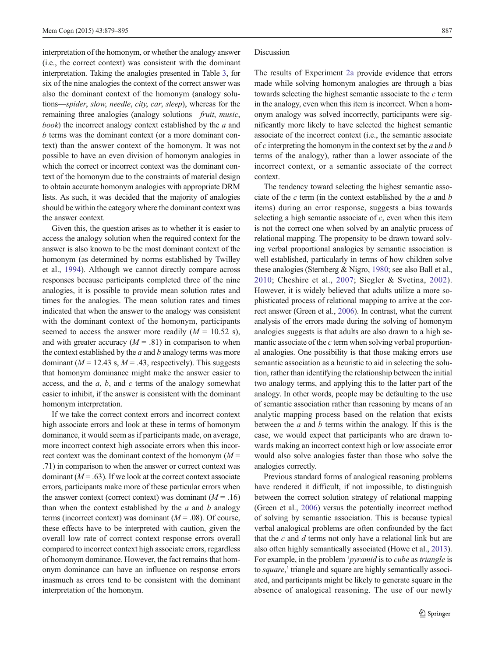interpretation of the homonym, or whether the analogy answer (i.e., the correct context) was consistent with the dominant interpretation. Taking the analogies presented in Table [3](#page-8-0), for six of the nine analogies the context of the correct answer was also the dominant context of the homonym (analogy solutions—spider, slow, needle, city, car, sleep), whereas for the remaining three analogies (analogy solutions—fruit, music, book) the incorrect analogy context established by the a and b terms was the dominant context (or a more dominant context) than the answer context of the homonym. It was not possible to have an even division of homonym analogies in which the correct or incorrect context was the dominant context of the homonym due to the constraints of material design to obtain accurate homonym analogies with appropriate DRM lists. As such, it was decided that the majority of analogies should be within the category where the dominant context was the answer context.

Given this, the question arises as to whether it is easier to access the analogy solution when the required context for the answer is also known to be the most dominant context of the homonym (as determined by norms established by Twilley et al., [1994](#page-17-0)). Although we cannot directly compare across responses because participants completed three of the nine analogies, it is possible to provide mean solution rates and times for the analogies. The mean solution rates and times indicated that when the answer to the analogy was consistent with the dominant context of the homonym, participants seemed to access the answer more readily  $(M = 10.52 \text{ s})$ , and with greater accuracy  $(M = .81)$  in comparison to when the context established by the  $a$  and  $b$  analogy terms was more dominant ( $M = 12.43$  s,  $M = .43$ , respectively). This suggests that homonym dominance might make the answer easier to access, and the  $a, b$ , and  $c$  terms of the analogy somewhat easier to inhibit, if the answer is consistent with the dominant homonym interpretation.

If we take the correct context errors and incorrect context high associate errors and look at these in terms of homonym dominance, it would seem as if participants made, on average, more incorrect context high associate errors when this incorrect context was the dominant context of the homonym  $(M =$ .71) in comparison to when the answer or correct context was dominant ( $M = .63$ ). If we look at the correct context associate errors, participants make more of these particular errors when the answer context (correct context) was dominant  $(M = .16)$ than when the context established by the  $a$  and  $b$  analogy terms (incorrect context) was dominant  $(M = .08)$ . Of course, these effects have to be interpreted with caution, given the overall low rate of correct context response errors overall compared to incorrect context high associate errors, regardless of homonym dominance. However, the fact remains that homonym dominance can have an influence on response errors inasmuch as errors tend to be consistent with the dominant interpretation of the homonym.

#### Discussion

The results of Experiment [2a](#page-6-0) provide evidence that errors made while solving homonym analogies are through a bias towards selecting the highest semantic associate to the  $c$  term in the analogy, even when this item is incorrect. When a homonym analogy was solved incorrectly, participants were significantly more likely to have selected the highest semantic associate of the incorrect context (i.e., the semantic associate of  $c$  interpreting the homonym in the context set by the  $a$  and  $b$ terms of the analogy), rather than a lower associate of the incorrect context, or a semantic associate of the correct context.

The tendency toward selecting the highest semantic associate of the  $c$  term (in the context established by the  $a$  and  $b$ items) during an error response, suggests a bias towards selecting a high semantic associate of  $c$ , even when this item is not the correct one when solved by an analytic process of relational mapping. The propensity to be drawn toward solving verbal proportional analogies by semantic association is well established, particularly in terms of how children solve these analogies (Sternberg & Nigro, [1980](#page-17-0); see also Ball et al., [2010](#page-16-0); Cheshire et al., [2007;](#page-16-0) Siegler & Svetina, [2002](#page-17-0)). However, it is widely believed that adults utilize a more sophisticated process of relational mapping to arrive at the correct answer (Green et al., [2006](#page-16-0)). In contrast, what the current analysis of the errors made during the solving of homonym analogies suggests is that adults are also drawn to a high semantic associate of the c term when solving verbal proportional analogies. One possibility is that those making errors use semantic association as a heuristic to aid in selecting the solution, rather than identifying the relationship between the initial two analogy terms, and applying this to the latter part of the analogy. In other words, people may be defaulting to the use of semantic association rather than reasoning by means of an analytic mapping process based on the relation that exists between the  $a$  and  $b$  terms within the analogy. If this is the case, we would expect that participants who are drawn towards making an incorrect context high or low associate error would also solve analogies faster than those who solve the analogies correctly.

Previous standard forms of analogical reasoning problems have rendered it difficult, if not impossible, to distinguish between the correct solution strategy of relational mapping (Green et al., [2006](#page-16-0)) versus the potentially incorrect method of solving by semantic association. This is because typical verbal analogical problems are often confounded by the fact that the  $c$  and  $d$  terms not only have a relational link but are also often highly semantically associated (Howe et al., [2013\)](#page-16-0). For example, in the problem 'pyramid is to cube as triangle is to square,' triangle and square are highly semantically associated, and participants might be likely to generate square in the absence of analogical reasoning. The use of our newly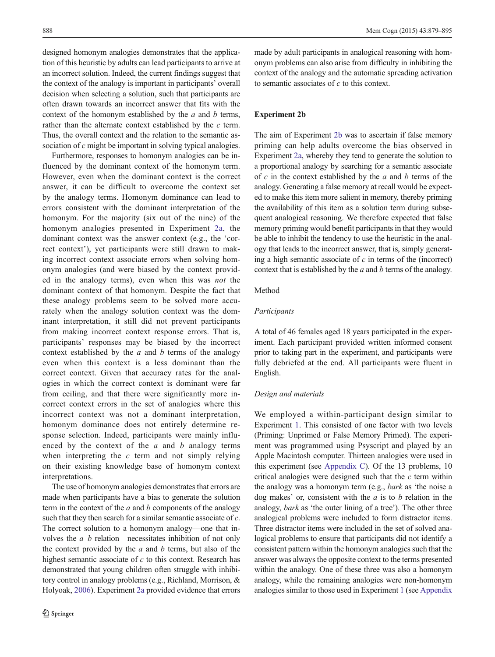<span id="page-10-0"></span>designed homonym analogies demonstrates that the application of this heuristic by adults can lead participants to arrive at an incorrect solution. Indeed, the current findings suggest that the context of the analogy is important in participants' overall decision when selecting a solution, such that participants are often drawn towards an incorrect answer that fits with the context of the homonym established by the  $a$  and  $b$  terms, rather than the alternate context established by the c term. Thus, the overall context and the relation to the semantic association of c might be important in solving typical analogies.

Furthermore, responses to homonym analogies can be influenced by the dominant context of the homonym term. However, even when the dominant context is the correct answer, it can be difficult to overcome the context set by the analogy terms. Homonym dominance can lead to errors consistent with the dominant interpretation of the homonym. For the majority (six out of the nine) of the homonym analogies presented in Experiment [2a](#page-6-0), the dominant context was the answer context (e.g., the 'correct context'), yet participants were still drawn to making incorrect context associate errors when solving homonym analogies (and were biased by the context provided in the analogy terms), even when this was not the dominant context of that homonym. Despite the fact that these analogy problems seem to be solved more accurately when the analogy solution context was the dominant interpretation, it still did not prevent participants from making incorrect context response errors. That is, participants' responses may be biased by the incorrect context established by the  $a$  and  $b$  terms of the analogy even when this context is a less dominant than the correct context. Given that accuracy rates for the analogies in which the correct context is dominant were far from ceiling, and that there were significantly more incorrect context errors in the set of analogies where this incorrect context was not a dominant interpretation, homonym dominance does not entirely determine response selection. Indeed, participants were mainly influenced by the context of the  $a$  and  $b$  analogy terms when interpreting the  $c$  term and not simply relying on their existing knowledge base of homonym context interpretations.

The use of homonym analogies demonstrates that errors are made when participants have a bias to generate the solution term in the context of the  $a$  and  $b$  components of the analogy such that they then search for a similar semantic associate of c. The correct solution to a homonym analogy—one that involves the  $a-b$  relation—necessitates inhibition of not only the context provided by the  $a$  and  $b$  terms, but also of the highest semantic associate of  $c$  to this context. Research has demonstrated that young children often struggle with inhibitory control in analogy problems (e.g., Richland, Morrison, & Holyoak, [2006\)](#page-17-0). Experiment [2a](#page-6-0) provided evidence that errors made by adult participants in analogical reasoning with homonym problems can also arise from difficulty in inhibiting the context of the analogy and the automatic spreading activation to semantic associates of  $c$  to this context.

# Experiment 2b

The aim of Experiment 2b was to ascertain if false memory priming can help adults overcome the bias observed in Experiment [2a](#page-6-0), whereby they tend to generate the solution to a proportional analogy by searching for a semantic associate of  $c$  in the context established by the  $a$  and  $b$  terms of the analogy. Generating a false memory at recall would be expected to make this item more salient in memory, thereby priming the availability of this item as a solution term during subsequent analogical reasoning. We therefore expected that false memory priming would benefit participants in that they would be able to inhibit the tendency to use the heuristic in the analogy that leads to the incorrect answer, that is, simply generating a high semantic associate of  $c$  in terms of the (incorrect) context that is established by the  $a$  and  $b$  terms of the analogy.

# Method

# Participants

A total of 46 females aged 18 years participated in the experiment. Each participant provided written informed consent prior to taking part in the experiment, and participants were fully debriefed at the end. All participants were fluent in English.

#### Design and materials

We employed a within-participant design similar to Experiment [1.](#page-4-0) This consisted of one factor with two levels (Priming: Unprimed or False Memory Primed). The experiment was programmed using Psyscript and played by an Apple Macintosh computer. Thirteen analogies were used in this experiment (see [Appendix C](#page-15-0)). Of the 13 problems, 10 critical analogies were designed such that the  $c$  term within the analogy was a homonym term (e.g., bark as 'the noise a dog makes' or, consistent with the  $a$  is to  $b$  relation in the analogy, bark as 'the outer lining of a tree'). The other three analogical problems were included to form distractor items. Three distractor items were included in the set of solved analogical problems to ensure that participants did not identify a consistent pattern within the homonym analogies such that the answer was always the opposite context to the terms presented within the analogy. One of these three was also a homonym analogy, while the remaining analogies were non-homonym analogies similar to those used in Experiment [1](#page-4-0) (see [Appendix](#page-15-0)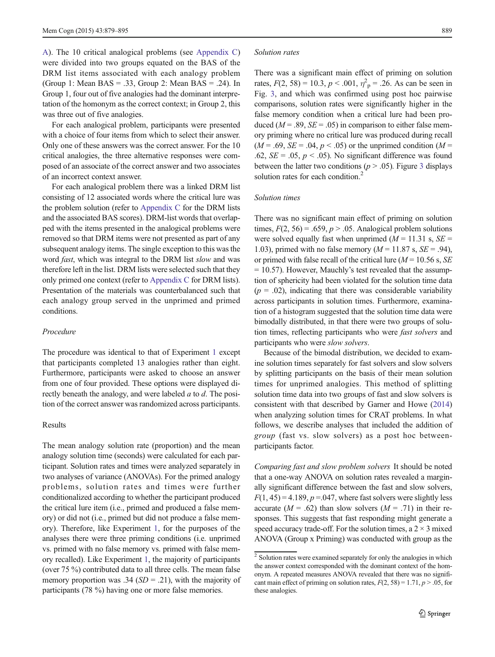[A](#page-15-0)). The 10 critical analogical problems (see [Appendix C\)](#page-15-0) were divided into two groups equated on the BAS of the DRM list items associated with each analogy problem (Group 1: Mean  $BAS = .33$ , Group 2: Mean  $BAS = .24$ ). In Group 1, four out of five analogies had the dominant interpretation of the homonym as the correct context; in Group 2, this was three out of five analogies.

For each analogical problem, participants were presented with a choice of four items from which to select their answer. Only one of these answers was the correct answer. For the 10 critical analogies, the three alternative responses were composed of an associate of the correct answer and two associates of an incorrect context answer.

For each analogical problem there was a linked DRM list consisting of 12 associated words where the critical lure was the problem solution (refer to [Appendix C](#page-15-0) for the DRM lists and the associated BAS scores). DRM-list words that overlapped with the items presented in the analogical problems were removed so that DRM items were not presented as part of any subsequent analogy items. The single exception to this was the word fast, which was integral to the DRM list slow and was therefore left in the list. DRM lists were selected such that they only primed one context (refer to [Appendix C](#page-15-0) for DRM lists). Presentation of the materials was counterbalanced such that each analogy group served in the unprimed and primed conditions.

# Procedure

The procedure was identical to that of Experiment [1](#page-4-0) except that participants completed 13 analogies rather than eight. Furthermore, participants were asked to choose an answer from one of four provided. These options were displayed directly beneath the analogy, and were labeled a to d. The position of the correct answer was randomized across participants.

# Results

The mean analogy solution rate (proportion) and the mean analogy solution time (seconds) were calculated for each participant. Solution rates and times were analyzed separately in two analyses of variance (ANOVAs). For the primed analogy problems, solution rates and times were further conditionalized according to whether the participant produced the critical lure item (i.e., primed and produced a false memory) or did not (i.e., primed but did not produce a false memory). Therefore, like Experiment [1](#page-4-0), for the purposes of the analyses there were three priming conditions (i.e. unprimed vs. primed with no false memory vs. primed with false memory recalled). Like Experiment [1](#page-4-0), the majority of participants (over 75 %) contributed data to all three cells. The mean false memory proportion was .34 ( $SD = .21$ ), with the majority of participants (78 %) having one or more false memories.

#### Solution rates

There was a significant main effect of priming on solution rates,  $F(2, 58) = 10.3, p < .001, \eta_{p}^{2} = .26$ . As can be seen in Fig. [3,](#page-12-0) and which was confirmed using post hoc pairwise comparisons, solution rates were significantly higher in the false memory condition when a critical lure had been produced ( $M = .89$ ,  $SE = .05$ ) in comparison to either false memory priming where no critical lure was produced during recall  $(M = .69, SE = .04, p < .05)$  or the unprimed condition  $(M = .09, SE = .04, p < .05)$ .62,  $SE = .05$ ,  $p < .05$ ). No significant difference was found between the latter two conditions ( $p > .05$ ). Figure [3](#page-12-0) displays solution rates for each condition.<sup>2</sup>

#### Solution times

There was no significant main effect of priming on solution times,  $F(2, 56) = .659$ ,  $p > .05$ . Analogical problem solutions were solved equally fast when unprimed ( $M = 11.31$  s,  $SE =$ 1.03), primed with no false memory ( $M = 11.87$  s,  $SE = .94$ ), or primed with false recall of the critical lure ( $M = 10.56$  s, SE  $= 10.57$ ). However, Mauchly's test revealed that the assumption of sphericity had been violated for the solution time data  $(p = .02)$ , indicating that there was considerable variability across participants in solution times. Furthermore, examination of a histogram suggested that the solution time data were bimodally distributed, in that there were two groups of solution times, reflecting participants who were fast solvers and participants who were slow solvers.

Because of the bimodal distribution, we decided to examine solution times separately for fast solvers and slow solvers by splitting participants on the basis of their mean solution times for unprimed analogies. This method of splitting solution time data into two groups of fast and slow solvers is consistent with that described by Garner and Howe [\(2014\)](#page-16-0) when analyzing solution times for CRAT problems. In what follows, we describe analyses that included the addition of group (fast vs. slow solvers) as a post hoc betweenparticipants factor.

Comparing fast and slow problem solvers It should be noted that a one-way ANOVA on solution rates revealed a marginally significant difference between the fast and slow solvers,  $F(1, 45) = 4.189, p = .047$ , where fast solvers were slightly less accurate ( $M = .62$ ) than slow solvers ( $M = .71$ ) in their responses. This suggests that fast responding might generate a speed accuracy trade-off. For the solution times, a  $2 \times 3$  mixed ANOVA (Group x Priming) was conducted with group as the

 $\frac{2}{3}$  Solution rates were examined separately for only the analogies in which the answer context corresponded with the dominant context of the homonym. A repeated measures ANOVA revealed that there was no significant main effect of priming on solution rates,  $F(2, 58) = 1.71$ ,  $p > .05$ , for these analogies.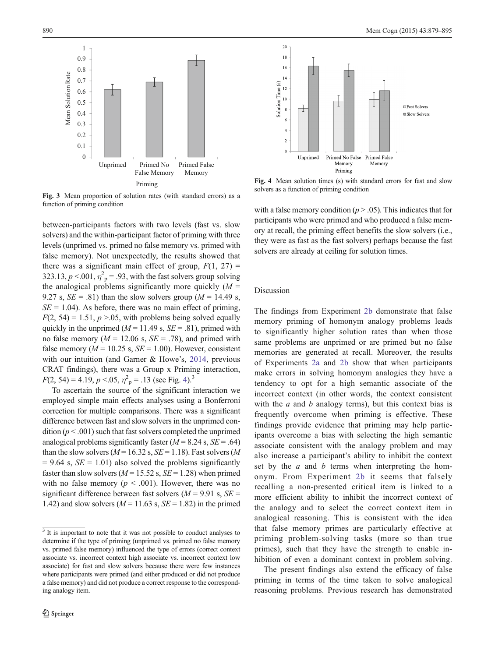

<span id="page-12-0"></span>890 Mem Cogn (2015) 43:879–895



Fig. 3 Mean proportion of solution rates (with standard errors) as a function of priming condition

between-participants factors with two levels (fast vs. slow solvers) and the within-participant factor of priming with three levels (unprimed vs. primed no false memory vs. primed with false memory). Not unexpectedly, the results showed that there was a significant main effect of group,  $F(1, 27)$  = 323.13,  $p < 0.01$ ,  $\eta^2$ <sub>p</sub> = .93, with the fast solvers group solving the analogical problems significantly more quickly  $(M =$ 9.27 s,  $SE = .81$ ) than the slow solvers group ( $M = 14.49$  s,  $SE = 1.04$ ). As before, there was no main effect of priming,  $F(2, 54) = 1.51$ ,  $p > 0.05$ , with problems being solved equally quickly in the unprimed ( $M = 11.49$  s,  $SE = .81$ ), primed with no false memory ( $M = 12.06$  s,  $SE = .78$ ), and primed with false memory ( $M = 10.25$  s,  $SE = 1.00$ ). However, consistent with our intuition (and Garner & Howe's, [2014](#page-16-0), previous CRAT findings), there was a Group x Priming interaction,  $F(2, 54) = 4.19, p < 0.05, \eta^2 = 0.13$  (see Fig. 4).<sup>3</sup>

To ascertain the source of the significant interaction we employed simple main effects analyses using a Bonferroni correction for multiple comparisons. There was a significant difference between fast and slow solvers in the unprimed condition ( $p < .001$ ) such that fast solvers completed the unprimed analogical problems significantly faster  $(M = 8.24 \text{ s}, \text{SE} = .64)$ than the slow solvers ( $M = 16.32$  s,  $SE = 1.18$ ). Fast solvers (M  $= 9.64$  s,  $SE = 1.01$ ) also solved the problems significantly faster than slow solvers ( $M = 15.52$  s,  $SE = 1.28$ ) when primed with no false memory ( $p < .001$ ). However, there was no significant difference between fast solvers ( $M = 9.91$  s,  $SE =$ 1.42) and slow solvers ( $M = 11.63$  s,  $SE = 1.82$ ) in the primed

Fig. 4 Mean solution times (s) with standard errors for fast and slow solvers as a function of priming condition

with a false memory condition ( $p > .05$ ). This indicates that for participants who were primed and who produced a false memory at recall, the priming effect benefits the slow solvers (i.e., they were as fast as the fast solvers) perhaps because the fast solvers are already at ceiling for solution times.

#### Discussion

The findings from Experiment [2b](#page-10-0) demonstrate that false memory priming of homonym analogy problems leads to significantly higher solution rates than when those same problems are unprimed or are primed but no false memories are generated at recall. Moreover, the results of Experiments [2a](#page-6-0) and [2b](#page-10-0) show that when participants make errors in solving homonym analogies they have a tendency to opt for a high semantic associate of the incorrect context (in other words, the context consistent with the  $a$  and  $b$  analogy terms), but this context bias is frequently overcome when priming is effective. These findings provide evidence that priming may help participants overcome a bias with selecting the high semantic associate consistent with the analogy problem and may also increase a participant's ability to inhibit the context set by the  $a$  and  $b$  terms when interpreting the homonym. From Experiment [2b](#page-10-0) it seems that falsely recalling a non-presented critical item is linked to a more efficient ability to inhibit the incorrect context of the analogy and to select the correct context item in analogical reasoning. This is consistent with the idea that false memory primes are particularly effective at priming problem-solving tasks (more so than true primes), such that they have the strength to enable inhibition of even a dominant context in problem solving.

The present findings also extend the efficacy of false priming in terms of the time taken to solve analogical reasoning problems. Previous research has demonstrated

<sup>&</sup>lt;sup>3</sup> It is important to note that it was not possible to conduct analyses to determine if the type of priming (unprimed vs. primed no false memory vs. primed false memory) influenced the type of errors (correct context associate vs. incorrect context high associate vs. incorrect context low associate) for fast and slow solvers because there were few instances where participants were primed (and either produced or did not produce a false memory) and did not produce a correct response to the corresponding analogy item.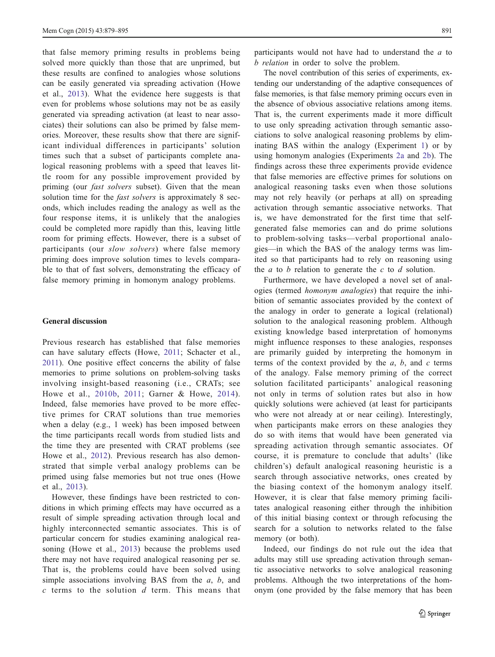that false memory priming results in problems being solved more quickly than those that are unprimed, but these results are confined to analogies whose solutions can be easily generated via spreading activation (Howe et al., [2013\)](#page-16-0). What the evidence here suggests is that even for problems whose solutions may not be as easily generated via spreading activation (at least to near associates) their solutions can also be primed by false memories. Moreover, these results show that there are significant individual differences in participants' solution times such that a subset of participants complete analogical reasoning problems with a speed that leaves little room for any possible improvement provided by priming (our *fast solvers* subset). Given that the mean solution time for the *fast solvers* is approximately 8 seconds, which includes reading the analogy as well as the four response items, it is unlikely that the analogies could be completed more rapidly than this, leaving little room for priming effects. However, there is a subset of participants (our slow solvers) where false memory priming does improve solution times to levels comparable to that of fast solvers, demonstrating the efficacy of false memory priming in homonym analogy problems.

# General discussion

Previous research has established that false memories can have salutary effects (Howe, [2011](#page-16-0); Schacter et al., [2011](#page-17-0)). One positive effect concerns the ability of false memories to prime solutions on problem-solving tasks involving insight-based reasoning (i.e., CRATs; see Howe et al., [2010b,](#page-16-0) [2011;](#page-16-0) Garner & Howe, [2014](#page-16-0)). Indeed, false memories have proved to be more effective primes for CRAT solutions than true memories when a delay (e.g., 1 week) has been imposed between the time participants recall words from studied lists and the time they are presented with CRAT problems (see Howe et al., [2012\)](#page-16-0). Previous research has also demonstrated that simple verbal analogy problems can be primed using false memories but not true ones (Howe et al., [2013](#page-16-0)).

However, these findings have been restricted to conditions in which priming effects may have occurred as a result of simple spreading activation through local and highly interconnected semantic associates. This is of particular concern for studies examining analogical reasoning (Howe et al., [2013](#page-16-0)) because the problems used there may not have required analogical reasoning per se. That is, the problems could have been solved using simple associations involving BAS from the  $a, b,$  and  $c$  terms to the solution  $d$  term. This means that

participants would not have had to understand the a to b relation in order to solve the problem.

The novel contribution of this series of experiments, extending our understanding of the adaptive consequences of false memories, is that false memory priming occurs even in the absence of obvious associative relations among items. That is, the current experiments made it more difficult to use only spreading activation through semantic associations to solve analogical reasoning problems by eliminating BAS within the analogy (Experiment [1\)](#page-4-0) or by using homonym analogies (Experiments [2a](#page-6-0) and [2b\)](#page-10-0). The findings across these three experiments provide evidence that false memories are effective primes for solutions on analogical reasoning tasks even when those solutions may not rely heavily (or perhaps at all) on spreading activation through semantic associative networks. That is, we have demonstrated for the first time that selfgenerated false memories can and do prime solutions to problem-solving tasks—verbal proportional analogies—in which the BAS of the analogy terms was limited so that participants had to rely on reasoning using the  $a$  to  $b$  relation to generate the  $c$  to  $d$  solution.

Furthermore, we have developed a novel set of analogies (termed homonym analogies) that require the inhibition of semantic associates provided by the context of the analogy in order to generate a logical (relational) solution to the analogical reasoning problem. Although existing knowledge based interpretation of homonyms might influence responses to these analogies, responses are primarily guided by interpreting the homonym in terms of the context provided by the  $a, b,$  and  $c$  terms of the analogy. False memory priming of the correct solution facilitated participants' analogical reasoning not only in terms of solution rates but also in how quickly solutions were achieved (at least for participants who were not already at or near ceiling). Interestingly, when participants make errors on these analogies they do so with items that would have been generated via spreading activation through semantic associates. Of course, it is premature to conclude that adults' (like children's) default analogical reasoning heuristic is a search through associative networks, ones created by the biasing context of the homonym analogy itself. However, it is clear that false memory priming facilitates analogical reasoning either through the inhibition of this initial biasing context or through refocusing the search for a solution to networks related to the false memory (or both).

Indeed, our findings do not rule out the idea that adults may still use spreading activation through semantic associative networks to solve analogical reasoning problems. Although the two interpretations of the homonym (one provided by the false memory that has been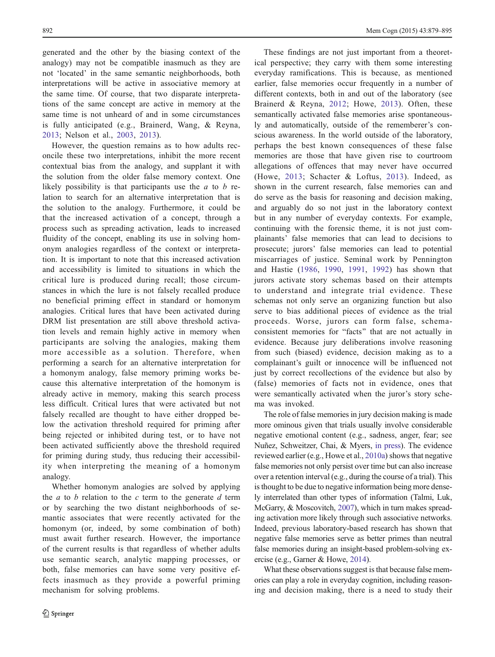generated and the other by the biasing context of the analogy) may not be compatible inasmuch as they are not 'located' in the same semantic neighborhoods, both interpretations will be active in associative memory at the same time. Of course, that two disparate interpretations of the same concept are active in memory at the same time is not unheard of and in some circumstances is fully anticipated (e.g., Brainerd, Wang, & Reyna, [2013](#page-16-0); Nelson et al., [2003,](#page-17-0) [2013](#page-17-0)).

However, the question remains as to how adults reconcile these two interpretations, inhibit the more recent contextual bias from the analogy, and supplant it with the solution from the older false memory context. One likely possibility is that participants use the  $a$  to  $b$  relation to search for an alternative interpretation that is the solution to the analogy. Furthermore, it could be that the increased activation of a concept, through a process such as spreading activation, leads to increased fluidity of the concept, enabling its use in solving homonym analogies regardless of the context or interpretation. It is important to note that this increased activation and accessibility is limited to situations in which the critical lure is produced during recall; those circumstances in which the lure is not falsely recalled produce no beneficial priming effect in standard or homonym analogies. Critical lures that have been activated during DRM list presentation are still above threshold activation levels and remain highly active in memory when participants are solving the analogies, making them more accessible as a solution. Therefore, when performing a search for an alternative interpretation for a homonym analogy, false memory priming works because this alternative interpretation of the homonym is already active in memory, making this search process less difficult. Critical lures that were activated but not falsely recalled are thought to have either dropped below the activation threshold required for priming after being rejected or inhibited during test, or to have not been activated sufficiently above the threshold required for priming during study, thus reducing their accessibility when interpreting the meaning of a homonym analogy.

Whether homonym analogies are solved by applying the  $a$  to  $b$  relation to the  $c$  term to the generate  $d$  term or by searching the two distant neighborhoods of semantic associates that were recently activated for the homonym (or, indeed, by some combination of both) must await further research. However, the importance of the current results is that regardless of whether adults use semantic search, analytic mapping processes, or both, false memories can have some very positive effects inasmuch as they provide a powerful priming mechanism for solving problems.

These findings are not just important from a theoretical perspective; they carry with them some interesting everyday ramifications. This is because, as mentioned earlier, false memories occur frequently in a number of different contexts, both in and out of the laboratory (see Brainerd & Reyna, [2012](#page-16-0); Howe, [2013](#page-16-0)). Often, these semantically activated false memories arise spontaneously and automatically, outside of the rememberer's conscious awareness. In the world outside of the laboratory, perhaps the best known consequences of these false memories are those that have given rise to courtroom allegations of offences that may never have occurred (Howe, [2013](#page-16-0); Schacter & Loftus, [2013](#page-17-0)). Indeed, as shown in the current research, false memories can and do serve as the basis for reasoning and decision making, and arguably do so not just in the laboratory context but in any number of everyday contexts. For example, continuing with the forensic theme, it is not just complainants' false memories that can lead to decisions to prosecute; jurors' false memories can lead to potential miscarriages of justice. Seminal work by Pennington and Hastie ([1986](#page-17-0), [1990,](#page-17-0) [1991,](#page-17-0) [1992\)](#page-17-0) has shown that jurors activate story schemas based on their attempts to understand and integrate trial evidence. These schemas not only serve an organizing function but also serve to bias additional pieces of evidence as the trial proceeds. Worse, jurors can form false, schemaconsistent memories for "facts" that are not actually in evidence. Because jury deliberations involve reasoning from such (biased) evidence, decision making as to a complainant's guilt or innocence will be influenced not just by correct recollections of the evidence but also by (false) memories of facts not in evidence, ones that were semantically activated when the juror's story schema was invoked.

The role of false memories in jury decision making is made more ominous given that trials usually involve considerable negative emotional content (e.g., sadness, anger, fear; see Nuñez, Schweitzer, Chai, & Myers, [in press](#page-17-0)). The evidence reviewed earlier (e.g., Howe et al., [2010a](#page-16-0)) shows that negative false memories not only persist over time but can also increase over a retention interval (e.g., during the course of a trial). This is thought to be due to negative information being more densely interrelated than other types of information (Talmi, Luk, McGarry, & Moscovitch, [2007](#page-17-0)), which in turn makes spreading activation more likely through such associative networks. Indeed, previous laboratory-based research has shown that negative false memories serve as better primes than neutral false memories during an insight-based problem-solving exercise (e.g., Garner & Howe, [2014\)](#page-16-0).

What these observations suggest is that because false memories can play a role in everyday cognition, including reasoning and decision making, there is a need to study their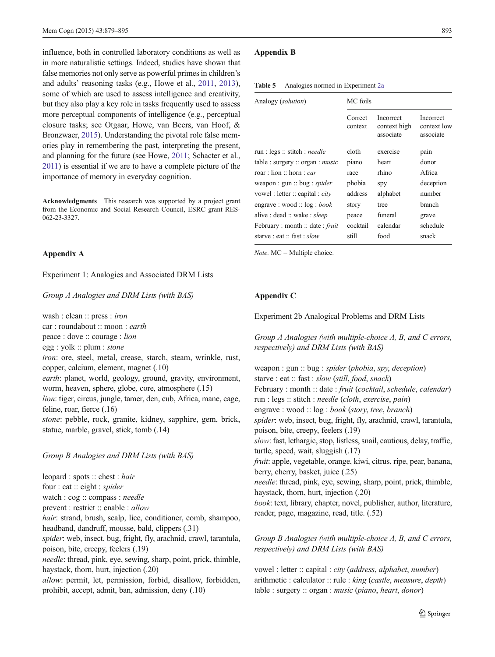<span id="page-15-0"></span>influence, both in controlled laboratory conditions as well as in more naturalistic settings. Indeed, studies have shown that false memories not only serve as powerful primes in children's and adults' reasoning tasks (e.g., Howe et al., [2011,](#page-16-0) [2013\)](#page-16-0), some of which are used to assess intelligence and creativity, but they also play a key role in tasks frequently used to assess more perceptual components of intelligence (e.g., perceptual closure tasks; see Otgaar, Howe, van Beers, van Hoof, & Bronzwaer, [2015\)](#page-17-0). Understanding the pivotal role false memories play in remembering the past, interpreting the present, and planning for the future (see Howe, [2011;](#page-16-0) Schacter et al., [2011](#page-17-0)) is essential if we are to have a complete picture of the importance of memory in everyday cognition.

Acknowledgments This research was supported by a project grant from the Economic and Social Research Council, ESRC grant RES-062-23-3327.

# Appendix A

Experiment 1: Analogies and Associated DRM Lists

#### Group A Analogies and DRM Lists (with BAS)

wash : clean :: press : iron

car : roundabout :: moon : earth

peace : dove :: courage : lion

egg : yolk :: plum : stone

iron: ore, steel, metal, crease, starch, steam, wrinkle, rust, copper, calcium, element, magnet (.10)

earth: planet, world, geology, ground, gravity, environment, worm, heaven, sphere, globe, core, atmosphere (.15)

lion: tiger, circus, jungle, tamer, den, cub, Africa, mane, cage, feline, roar, fierce (.16)

stone: pebble, rock, granite, kidney, sapphire, gem, brick, statue, marble, gravel, stick, tomb (.14)

#### Group B Analogies and DRM Lists (with BAS)

leopard : spots :: chest : hair four : cat :: eight : spider

watch : cog :: compass : needle

prevent : restrict :: enable : allow

hair: strand, brush, scalp, lice, conditioner, comb, shampoo, headband, dandruff, mousse, bald, clippers (.31)

spider: web, insect, bug, fright, fly, arachnid, crawl, tarantula, poison, bite, creepy, feelers (.19)

needle: thread, pink, eye, sewing, sharp, point, prick, thimble, haystack, thorn, hurt, injection (.20)

allow: permit, let, permission, forbid, disallow, forbidden, prohibit, accept, admit, ban, admission, deny (.10)

#### Appendix B

| Table 5 |  | Analogies normed in Experiment 2a |
|---------|--|-----------------------------------|
|---------|--|-----------------------------------|

| Analogy (solution)                      | MC foils           |                                        |                                       |
|-----------------------------------------|--------------------|----------------------------------------|---------------------------------------|
|                                         | Correct<br>context | Incorrect<br>context high<br>associate | Incorrect<br>context low<br>associate |
| run : legs :: stitch : <i>needle</i>    | cloth              | exercise                               | pain                                  |
| table : surgery :: organ : <i>music</i> | piano              | heart                                  | donor                                 |
| roar : lion :: horn : <i>car</i>        | race               | rhino                                  | Africa                                |
| weapon : gun :: bug : <i>spider</i>     | phobia             | spy                                    | deception                             |
| vowel : letter :: capital : <i>city</i> | address            | alphabet                               | number                                |
| engrave : wood :: $log : book$          | story              | tree                                   | hranch                                |
| alive : dead :: wake : <i>sleep</i>     | peace              | funeral                                | grave                                 |
| February: month :: date: fruit          | cocktail           | calendar                               | schedule                              |
| starve: eat:: fast: slow                | still              | food                                   | snack                                 |

 $Note. MC = Multiple choice.$ 

# Appendix C

Experiment 2b Analogical Problems and DRM Lists

Group A Analogies (with multiple-choice A, B, and C errors, respectively) and DRM Lists (with BAS)

weapon : gun :: bug : spider (phobia, spy, deception) starve : eat :: fast : slow (still, food, snack) February : month :: date : fruit (cocktail, schedule, calendar) run : legs :: stitch : needle (cloth, exercise, pain) engrave : wood :: log : book (story, tree, branch) spider: web, insect, bug, fright, fly, arachnid, crawl, tarantula, poison, bite, creepy, feelers (.19) slow: fast, lethargic, stop, listless, snail, cautious, delay, traffic, turtle, speed, wait, sluggish (.17) fruit: apple, vegetable, orange, kiwi, citrus, ripe, pear, banana, berry, cherry, basket, juice (.25) needle: thread, pink, eye, sewing, sharp, point, prick, thimble, haystack, thorn, hurt, injection (.20) book: text, library, chapter, novel, publisher, author, literature, reader, page, magazine, read, title. (.52)

Group B Analogies (with multiple-choice A, B, and C errors, respectively) and DRM Lists (with BAS)

vowel : letter :: capital : city (address, alphabet, number) arithmetic : calculator :: rule : king (castle, measure, depth) table : surgery :: organ : music (piano, heart, donor)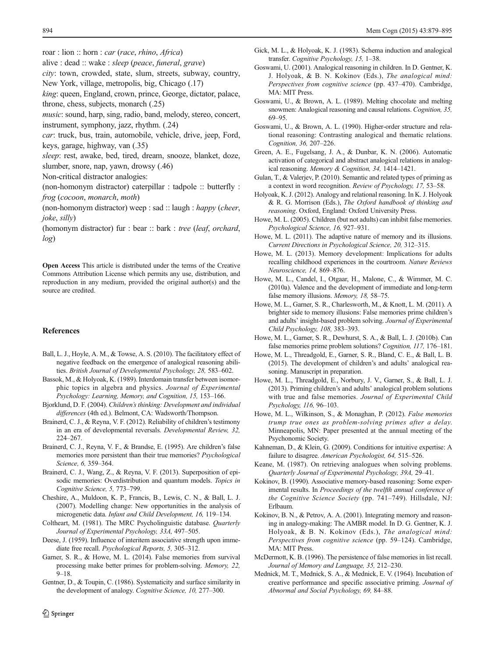<span id="page-16-0"></span>roar : lion :: horn : car (race, rhino, Africa)

alive : dead :: wake : sleep (peace, funeral, grave)

city: town, crowded, state, slum, streets, subway, country,

New York, village, metropolis, big, Chicago (.17)

king: queen, England, crown, prince, George, dictator, palace, throne, chess, subjects, monarch (.25)

music: sound, harp, sing, radio, band, melody, stereo, concert, instrument, symphony, jazz, rhythm. (.24)

car: truck, bus, train, automobile, vehicle, drive, jeep, Ford, keys, garage, highway, van (.35)

sleep: rest, awake, bed, tired, dream, snooze, blanket, doze, slumber, snore, nap, yawn, drowsy (.46)

(non-homonym distractor) caterpillar : tadpole :: butterfly : frog (cocoon, monarch, moth)

(non-homonym distractor) weep : sad :: laugh : happy (cheer, joke, silly)

(homonym distractor) fur : bear :: bark : tree (leaf, orchard, log)

Open Access This article is distributed under the terms of the Creative Commons Attribution License which permits any use, distribution, and reproduction in any medium, provided the original author(s) and the source are credited.

# References

- Ball, L. J., Hoyle, A. M., & Towse, A. S. (2010). The facilitatory effect of negative feedback on the emergence of analogical reasoning abilities. British Journal of Developmental Psychology, 28, 583–602.
- Bassok, M., & Holyoak, K. (1989). Interdomain transfer between isomorphic topics in algebra and physics. Journal of Experimental Psychology: Learning, Memory, and Cognition, 15, 153–166.
- Bjorklund, D. F. (2004). Children's thinking: Development and individual differences (4th ed.). Belmont, CA: Wadsworth/Thompson.
- Brainerd, C. J., & Reyna, V. F. (2012). Reliability of children's testimony in an era of developmental reversals. Developmental Review, 32, 224–267.
- Brainerd, C. J., Reyna, V. F., & Brandse, E. (1995). Are children's false memories more persistent than their true memories? Psychological Science, 6, 359–364.
- Brainerd, C. J., Wang, Z., & Reyna, V. F. (2013). Superposition of episodic memories: Overdistribution and quantum models. Topics in Cognitive Science, 5, 773–799.
- Cheshire, A., Muldoon, K. P., Francis, B., Lewis, C. N., & Ball, L. J. (2007). Modelling change: New opportunities in the analysis of microgenetic data. Infant and Child Development, 16, 119–134.
- Coltheart, M. (1981). The MRC Psycholinguistic database. Quarterly Journal of Experimental Psychology, 33A, 497–505.

Deese, J. (1959). Influence of interitem associative strength upon immediate free recall. Psychological Reports, 5, 305–312.

- Garner, S. R., & Howe, M. L. (2014). False memories from survival processing make better primes for problem-solving. Memory, 22, 9–18.
- Gentner, D., & Toupin, C. (1986). Systematicity and surface similarity in the development of analogy. Cognitive Science, 10, 277–300.
- Gick, M. L., & Holyoak, K. J. (1983). Schema induction and analogical transfer. Cognitive Psychology, 15, 1–38.
- Goswami, U. (2001). Analogical reasoning in children. In D. Gentner, K. J. Holyoak, & B. N. Kokinov (Eds.), The analogical mind: Perspectives from cognitive science (pp. 437–470). Cambridge, MA: MIT Press.
- Goswami, U., & Brown, A. L. (1989). Melting chocolate and melting snowmen: Analogical reasoning and causal relations. Cognition, 35, 69–95.
- Goswami, U., & Brown, A. L. (1990). Higher-order structure and relational reasoning: Contrasting analogical and thematic relations. Cognition, 36, 207–226.
- Green, A. E., Fugelsang, J. A., & Dunbar, K. N. (2006). Automatic activation of categorical and abstract analogical relations in analogical reasoning. Memory & Cognition, 34, 1414–1421.
- Gulan, T., & Valerjev, P. (2010). Semantic and related types of priming as a context in word recognition. Review of Psychology, 17, 53–58.
- Holyoak, K. J. (2012). Analogy and relational reasoning. In K. J. Holyoak & R. G. Morrison (Eds.), The Oxford handbook of thinking and reasoning. Oxford, England: Oxford University Press.
- Howe, M. L. (2005). Children (but not adults) can inhibit false memories. Psychological Science, 16, 927–931.
- Howe, M. L. (2011). The adaptive nature of memory and its illusions. Current Directions in Psychological Science, 20, 312–315.
- Howe, M. L. (2013). Memory development: Implications for adults recalling childhood experiences in the courtroom. Nature Reviews Neuroscience, 14, 869–876.
- Howe, M. L., Candel, I., Otgaar, H., Malone, C., & Wimmer, M. C. (2010a). Valence and the development of immediate and long-term false memory illusions. Memory, 18, 58–75.
- Howe, M. L., Garner, S. R., Charlesworth, M., & Knott, L. M. (2011). A brighter side to memory illusions: False memories prime children's and adults' insight-based problem solving. Journal of Experimental Child Psychology, 108, 383–393.
- Howe, M. L., Garner, S. R., Dewhurst, S. A., & Ball, L. J. (2010b). Can false memories prime problem solutions? Cognition, 117, 176–181.
- Howe, M. L., Threadgold, E., Garner, S. R., Bland, C. E., & Ball, L. B. (2015). The development of children's and adults' analogical reasoning. Manuscript in preparation.
- Howe, M. L., Threadgold, E., Norbury, J. V., Garner, S., & Ball, L. J. (2013). Priming children's and adults' analogical problem solutions with true and false memories. Journal of Experimental Child Psychology, 116, 96–103.
- Howe, M. L., Wilkinson, S., & Monaghan, P. (2012). False memories trump true ones as problem-solving primes after a delay. Minneapolis, MN: Paper presented at the annual meeting of the Psychonomic Society.
- Kahneman, D., & Klein, G. (2009). Conditions for intuitive expertise: A failure to disagree. American Psychologist, 64, 515-526.
- Keane, M. (1987). On retrieving analogues when solving problems. Quarterly Journal of Experimental Psychology, 39A, 29–41.
- Kokinov, B. (1990). Associative memory-based reasoning: Some experimental results. In Proceedings of the twelfth annual conference of the Cognitive Science Society (pp. 741–749). Hillsdale, NJ: Erlbaum.
- Kokinov, B. N., & Petrov, A. A. (2001). Integrating memory and reasoning in analogy-making: The AMBR model. In D. G. Gentner, K. J. Holyoak, & B. N. Kokinov (Eds.), The analogical mind: Perspectives from cognitive science (pp. 59–124). Cambridge, MA: MIT Press.
- McDermott, K. B. (1996). The persistence of false memories in list recall. Journal of Memory and Language, 35, 212–230.
- Mednick, M. T., Mednick, S. A., & Mednick, E. V. (1964). Incubation of creative performance and specific associative priming. Journal of Abnormal and Social Psychology, 69, 84–88.

Non-critical distractor analogies: